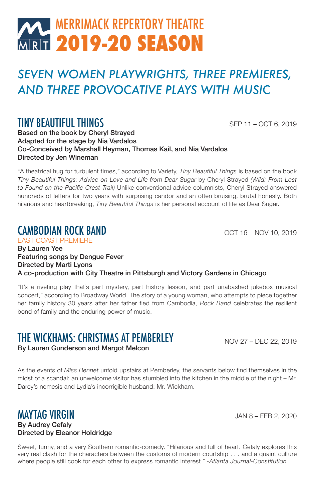## **MERRIMACK REPERTORY THEATRE MRT 2019-20 SEASON**

## *SEVEN WOMEN PLAYWRIGHTS, THREE PREMIERES, AND THREE PROVOCATIVE PLAYS WITH MUSIC*

### TINY BEAUTIFUL THINGS

SEP 11 – OCT 6, 2019

Based on the book by Cheryl Strayed Adapted for the stage by Nia Vardalos Co-Conceived by Marshall Heyman, Thomas Kail, and Nia Vardalos Directed by Jen Wineman

"A theatrical hug for turbulent times," according to Variety, *Tiny Beautiful Things* is based on the book *Tiny Beautiful Things: Advice on Love and Life from Dear Sugar* by Cheryl Strayed *(Wild: From Lost to Found on the Pacific Crest Trail)* Unlike conventional advice columnists, Cheryl Strayed answered hundreds of letters for two years with surprising candor and an often bruising, brutal honesty. Both hilarious and heartbreaking, *Tiny Beautiful Things* is her personal account of life as Dear Sugar.

#### CAMBODIAN ROCK BAND

EAST COAST PREMIERE

OCT 16 – NOV 10, 2019

#### By Lauren Yee Featuring songs by Dengue Fever Directed by Marti Lyons A co-production with City Theatre in Pittsburgh and Victory Gardens in Chicago

"It's a riveting play that's part mystery, part history lesson, and part unabashed jukebox musical concert," according to Broadway World. The story of a young woman, who attempts to piece together her family history 30 years after her father fled from Cambodia, *Rock Band* celebrates the resilient bond of family and the enduring power of music.

## THE WICKHAMS: CHRISTMAS AT PEMBERLEY

By Lauren Gunderson and Margot Melcon

NOV 27 – DEC 22, 2019

As the events of *Miss Bennet* unfold upstairs at Pemberley, the servants below find themselves in the midst of a scandal; an unwelcome visitor has stumbled into the kitchen in the middle of the night – Mr. Darcy's nemesis and Lydia's incorrigible husband: Mr. Wickham.

#### MAYTAG VIRGIN By Audrey Cefaly Directed by Eleanor Holdridge

Sweet, funny, and a very Southern romantic-comedy. "Hilarious and full of heart. Cefaly explores this very real clash for the characters between the customs of modern courtship . . . and a quaint culture where people still cook for each other to express romantic interest." *-Atlanta Journal-Constitution*

JAN 8 – FEB 2, 2020